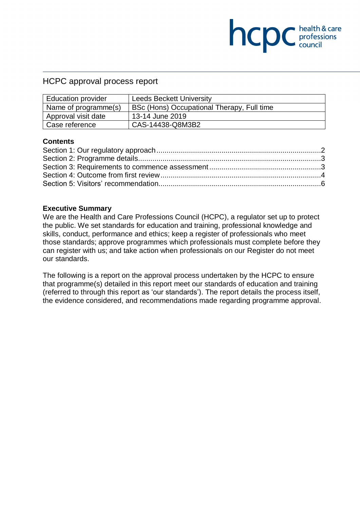# HCPC approval process report

| <b>Education provider</b> | <b>Leeds Beckett University</b>            |  |
|---------------------------|--------------------------------------------|--|
| Name of programme(s)      | BSc (Hons) Occupational Therapy, Full time |  |
| Approval visit date       | 13-14 June 2019                            |  |
| Case reference            | CAS-14438-Q8M3B2                           |  |

**NCDC** health & care

### **Contents**

#### **Executive Summary**

We are the Health and Care Professions Council (HCPC), a regulator set up to protect the public. We set standards for education and training, professional knowledge and skills, conduct, performance and ethics; keep a register of professionals who meet those standards; approve programmes which professionals must complete before they can register with us; and take action when professionals on our Register do not meet our standards.

The following is a report on the approval process undertaken by the HCPC to ensure that programme(s) detailed in this report meet our standards of education and training (referred to through this report as 'our standards'). The report details the process itself, the evidence considered, and recommendations made regarding programme approval.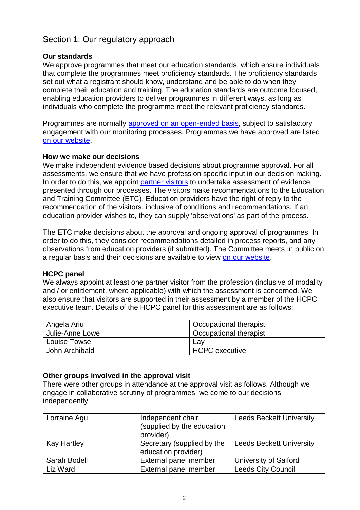# <span id="page-1-0"></span>Section 1: Our regulatory approach

## **Our standards**

We approve programmes that meet our education standards, which ensure individuals that complete the programmes meet proficiency standards. The proficiency standards set out what a registrant should know, understand and be able to do when they complete their education and training. The education standards are outcome focused, enabling education providers to deliver programmes in different ways, as long as individuals who complete the programme meet the relevant proficiency standards.

Programmes are normally [approved on an open-ended basis,](http://www.hcpc-uk.org/education/processes/) subject to satisfactory engagement with our monitoring processes. Programmes we have approved are listed [on our website.](http://www.hcpc-uk.org/education/programmes/register/)

### **How we make our decisions**

We make independent evidence based decisions about programme approval. For all assessments, we ensure that we have profession specific input in our decision making. In order to do this, we appoint [partner visitors](http://www.hcpc-uk.org/aboutus/partners/) to undertake assessment of evidence presented through our processes. The visitors make recommendations to the Education and Training Committee (ETC). Education providers have the right of reply to the recommendation of the visitors, inclusive of conditions and recommendations. If an education provider wishes to, they can supply 'observations' as part of the process.

The ETC make decisions about the approval and ongoing approval of programmes. In order to do this, they consider recommendations detailed in process reports, and any observations from education providers (if submitted). The Committee meets in public on a regular basis and their decisions are available to view [on our website.](http://www.hcpc-uk.org/aboutus/committees/educationandtrainingpanel/)

### **HCPC panel**

We always appoint at least one partner visitor from the profession (inclusive of modality and / or entitlement, where applicable) with which the assessment is concerned. We also ensure that visitors are supported in their assessment by a member of the HCPC executive team. Details of the HCPC panel for this assessment are as follows:

| Angela Ariu     | Occupational therapist |  |
|-----------------|------------------------|--|
| Julie-Anne Lowe | Occupational therapist |  |
| Louise Towse    | Lav                    |  |
| John Archibald  | <b>HCPC</b> executive  |  |

# **Other groups involved in the approval visit**

There were other groups in attendance at the approval visit as follows. Although we engage in collaborative scrutiny of programmes, we come to our decisions independently.

| Lorraine Agu       | Independent chair<br>(supplied by the education<br>provider) | <b>Leeds Beckett University</b> |
|--------------------|--------------------------------------------------------------|---------------------------------|
| <b>Kay Hartley</b> | Secretary (supplied by the<br>education provider)            | <b>Leeds Beckett University</b> |
| Sarah Bodell       | External panel member                                        | <b>University of Salford</b>    |
| Liz Ward           | External panel member                                        | <b>Leeds City Council</b>       |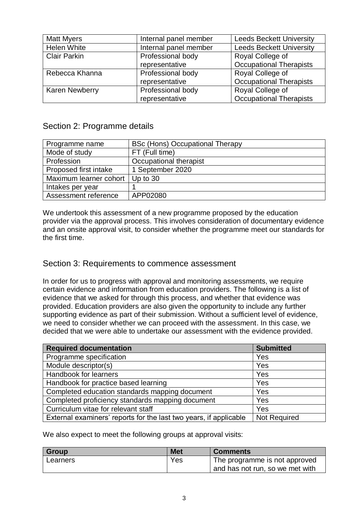| <b>Matt Myers</b>     | Internal panel member | <b>Leeds Beckett University</b> |
|-----------------------|-----------------------|---------------------------------|
| <b>Helen White</b>    | Internal panel member | <b>Leeds Beckett University</b> |
| <b>Clair Parkin</b>   | Professional body     | Royal College of                |
|                       | representative        | <b>Occupational Therapists</b>  |
| Rebecca Khanna        | Professional body     | Royal College of                |
|                       | representative        | <b>Occupational Therapists</b>  |
| <b>Karen Newberry</b> | Professional body     | Royal College of                |
|                       | representative        | <b>Occupational Therapists</b>  |

# <span id="page-2-0"></span>Section 2: Programme details

| Programme name         | <b>BSc (Hons) Occupational Therapy</b> |  |
|------------------------|----------------------------------------|--|
| Mode of study          | FT (Full time)                         |  |
| Profession             | Occupational therapist                 |  |
| Proposed first intake  | 1 September 2020                       |  |
| Maximum learner cohort | Up to $30$                             |  |
| Intakes per year       |                                        |  |
| Assessment reference   | APP02080                               |  |

We undertook this assessment of a new programme proposed by the education provider via the approval process. This involves consideration of documentary evidence and an onsite approval visit, to consider whether the programme meet our standards for the first time.

# <span id="page-2-1"></span>Section 3: Requirements to commence assessment

In order for us to progress with approval and monitoring assessments, we require certain evidence and information from education providers. The following is a list of evidence that we asked for through this process, and whether that evidence was provided. Education providers are also given the opportunity to include any further supporting evidence as part of their submission. Without a sufficient level of evidence, we need to consider whether we can proceed with the assessment. In this case, we decided that we were able to undertake our assessment with the evidence provided.

| <b>Required documentation</b>                                     | <b>Submitted</b>    |
|-------------------------------------------------------------------|---------------------|
| Programme specification                                           | Yes                 |
| Module descriptor(s)                                              | Yes                 |
| Handbook for learners                                             | Yes                 |
| Handbook for practice based learning                              | Yes                 |
| Completed education standards mapping document                    | Yes                 |
| Completed proficiency standards mapping document                  | Yes                 |
| Curriculum vitae for relevant staff                               | Yes                 |
| External examiners' reports for the last two years, if applicable | <b>Not Required</b> |

We also expect to meet the following groups at approval visits:

| Group    | <b>Met</b> | <b>Comments</b>                 |
|----------|------------|---------------------------------|
| Learners | Yes        | The programme is not approved   |
|          |            | and has not run, so we met with |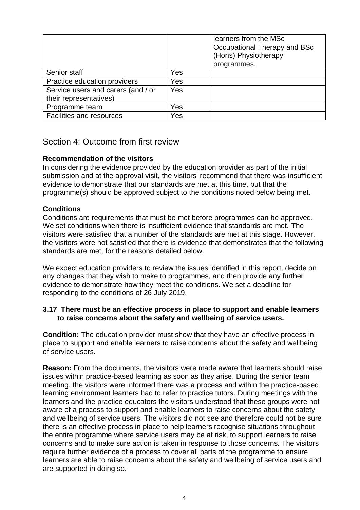|                                                              |            | learners from the MSc<br>Occupational Therapy and BSc<br>(Hons) Physiotherapy<br>programmes. |
|--------------------------------------------------------------|------------|----------------------------------------------------------------------------------------------|
| Senior staff                                                 | Yes        |                                                                                              |
| Practice education providers                                 | Yes        |                                                                                              |
| Service users and carers (and / or<br>their representatives) | <b>Yes</b> |                                                                                              |
| Programme team                                               | Yes        |                                                                                              |
| Facilities and resources                                     | Yes        |                                                                                              |

# <span id="page-3-0"></span>Section 4: Outcome from first review

## **Recommendation of the visitors**

In considering the evidence provided by the education provider as part of the initial submission and at the approval visit, the visitors' recommend that there was insufficient evidence to demonstrate that our standards are met at this time, but that the programme(s) should be approved subject to the conditions noted below being met.

## **Conditions**

Conditions are requirements that must be met before programmes can be approved. We set conditions when there is insufficient evidence that standards are met. The visitors were satisfied that a number of the standards are met at this stage. However, the visitors were not satisfied that there is evidence that demonstrates that the following standards are met, for the reasons detailed below.

We expect education providers to review the issues identified in this report, decide on any changes that they wish to make to programmes, and then provide any further evidence to demonstrate how they meet the conditions. We set a deadline for responding to the conditions of 26 July 2019.

#### **3.17 There must be an effective process in place to support and enable learners to raise concerns about the safety and wellbeing of service users.**

**Condition:** The education provider must show that they have an effective process in place to support and enable learners to raise concerns about the safety and wellbeing of service users.

**Reason:** From the documents, the visitors were made aware that learners should raise issues within practice-based learning as soon as they arise. During the senior team meeting, the visitors were informed there was a process and within the practice-based learning environment learners had to refer to practice tutors. During meetings with the learners and the practice educators the visitors understood that these groups were not aware of a process to support and enable learners to raise concerns about the safety and wellbeing of service users. The visitors did not see and therefore could not be sure there is an effective process in place to help learners recognise situations throughout the entire programme where service users may be at risk, to support learners to raise concerns and to make sure action is taken in response to those concerns. The visitors require further evidence of a process to cover all parts of the programme to ensure learners are able to raise concerns about the safety and wellbeing of service users and are supported in doing so.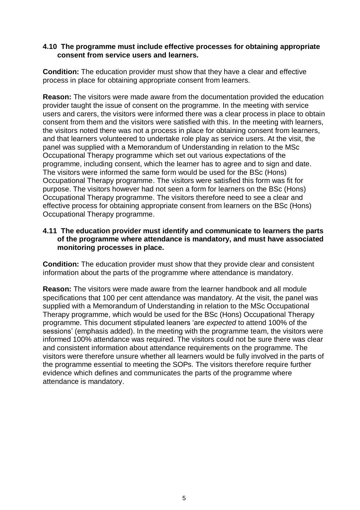### **4.10 The programme must include effective processes for obtaining appropriate consent from service users and learners.**

**Condition:** The education provider must show that they have a clear and effective process in place for obtaining appropriate consent from learners.

**Reason:** The visitors were made aware from the documentation provided the education provider taught the issue of consent on the programme. In the meeting with service users and carers, the visitors were informed there was a clear process in place to obtain consent from them and the visitors were satisfied with this. In the meeting with learners, the visitors noted there was not a process in place for obtaining consent from learners, and that learners volunteered to undertake role play as service users. At the visit, the panel was supplied with a Memorandum of Understanding in relation to the MSc Occupational Therapy programme which set out various expectations of the programme, including consent, which the learner has to agree and to sign and date. The visitors were informed the same form would be used for the BSc (Hons) Occupational Therapy programme. The visitors were satisfied this form was fit for purpose. The visitors however had not seen a form for learners on the BSc (Hons) Occupational Therapy programme. The visitors therefore need to see a clear and effective process for obtaining appropriate consent from learners on the BSc (Hons) Occupational Therapy programme.

### **4.11 The education provider must identify and communicate to learners the parts of the programme where attendance is mandatory, and must have associated monitoring processes in place.**

**Condition:** The education provider must show that they provide clear and consistent information about the parts of the programme where attendance is mandatory.

**Reason:** The visitors were made aware from the learner handbook and all module specifications that 100 per cent attendance was mandatory. At the visit, the panel was supplied with a Memorandum of Understanding in relation to the MSc Occupational Therapy programme, which would be used for the BSc (Hons) Occupational Therapy programme. This document stipulated leaners 'are *expected* to attend 100% of the sessions' (emphasis added). In the meeting with the programme team, the visitors were informed 100% attendance was required. The visitors could not be sure there was clear and consistent information about attendance requirements on the programme. The visitors were therefore unsure whether all learners would be fully involved in the parts of the programme essential to meeting the SOPs. The visitors therefore require further evidence which defines and communicates the parts of the programme where attendance is mandatory.